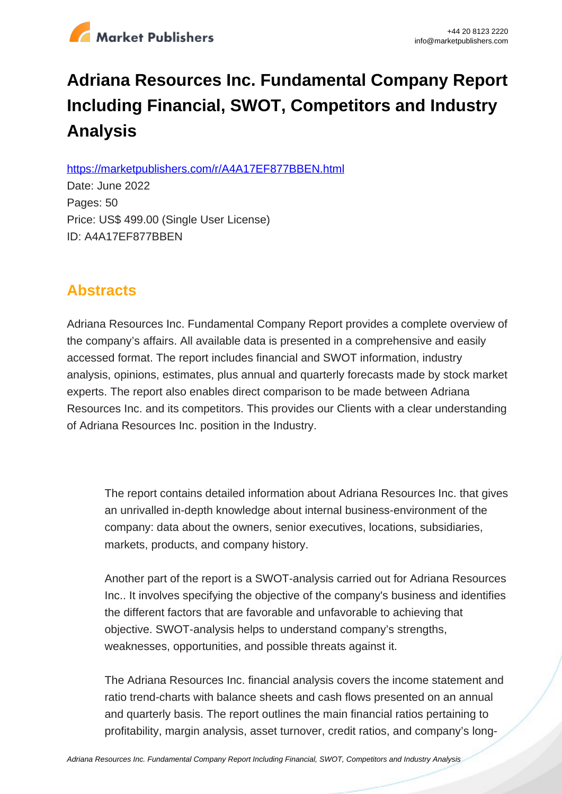

# **Adriana Resources Inc. Fundamental Company Report Including Financial, SWOT, Competitors and Industry Analysis**

https://marketpublishers.com/r/A4A17EF877BBEN.html

Date: June 2022 Pages: 50 Price: US\$ 499.00 (Single User License) ID: A4A17EF877BBEN

# **Abstracts**

Adriana Resources Inc. Fundamental Company Report provides a complete overview of the company's affairs. All available data is presented in a comprehensive and easily accessed format. The report includes financial and SWOT information, industry analysis, opinions, estimates, plus annual and quarterly forecasts made by stock market experts. The report also enables direct comparison to be made between Adriana Resources Inc. and its competitors. This provides our Clients with a clear understanding of Adriana Resources Inc. position in the Industry.

The report contains detailed information about Adriana Resources Inc. that gives an unrivalled in-depth knowledge about internal business-environment of the company: data about the owners, senior executives, locations, subsidiaries, markets, products, and company history.

Another part of the report is a SWOT-analysis carried out for Adriana Resources Inc.. It involves specifying the objective of the company's business and identifies the different factors that are favorable and unfavorable to achieving that objective. SWOT-analysis helps to understand company's strengths, weaknesses, opportunities, and possible threats against it.

The Adriana Resources Inc. financial analysis covers the income statement and ratio trend-charts with balance sheets and cash flows presented on an annual and quarterly basis. The report outlines the main financial ratios pertaining to profitability, margin analysis, asset turnover, credit ratios, and company's long-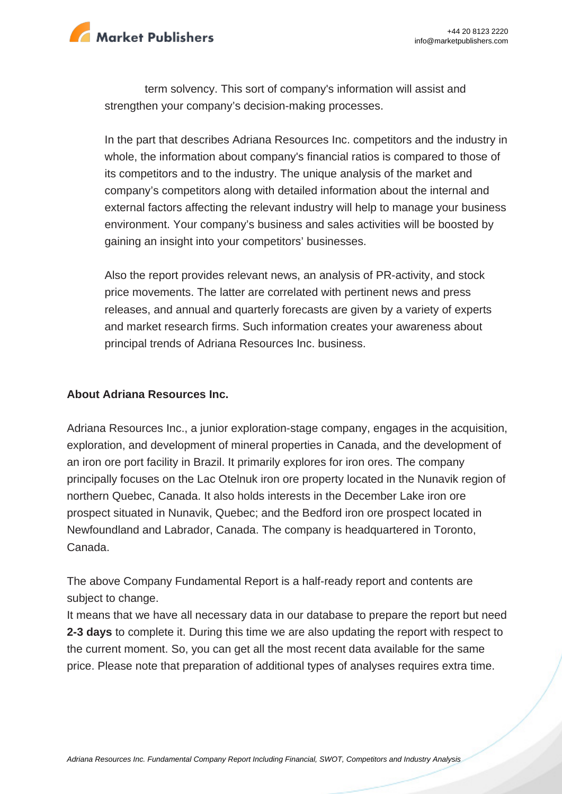

term solvency. This sort of company's information will assist and strengthen your company's decision-making processes.

In the part that describes Adriana Resources Inc. competitors and the industry in whole, the information about company's financial ratios is compared to those of its competitors and to the industry. The unique analysis of the market and company's competitors along with detailed information about the internal and external factors affecting the relevant industry will help to manage your business environment. Your company's business and sales activities will be boosted by gaining an insight into your competitors' businesses.

Also the report provides relevant news, an analysis of PR-activity, and stock price movements. The latter are correlated with pertinent news and press releases, and annual and quarterly forecasts are given by a variety of experts and market research firms. Such information creates your awareness about principal trends of Adriana Resources Inc. business.

### **About Adriana Resources Inc.**

Adriana Resources Inc., a junior exploration-stage company, engages in the acquisition, exploration, and development of mineral properties in Canada, and the development of an iron ore port facility in Brazil. It primarily explores for iron ores. The company principally focuses on the Lac Otelnuk iron ore property located in the Nunavik region of northern Quebec, Canada. It also holds interests in the December Lake iron ore prospect situated in Nunavik, Quebec; and the Bedford iron ore prospect located in Newfoundland and Labrador, Canada. The company is headquartered in Toronto, Canada.

The above Company Fundamental Report is a half-ready report and contents are subject to change.

It means that we have all necessary data in our database to prepare the report but need **2-3 days** to complete it. During this time we are also updating the report with respect to the current moment. So, you can get all the most recent data available for the same price. Please note that preparation of additional types of analyses requires extra time.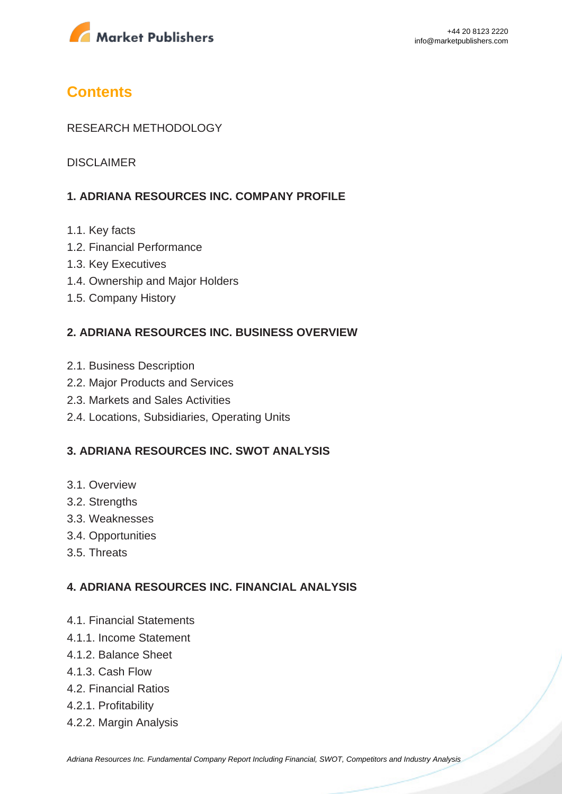

# **Contents**

## RESEARCH METHODOLOGY

DISCLAIMER

# **1. ADRIANA RESOURCES INC. COMPANY PROFILE**

- 1.1. Key facts
- 1.2. Financial Performance
- 1.3. Key Executives
- 1.4. Ownership and Major Holders
- 1.5. Company History

### **2. ADRIANA RESOURCES INC. BUSINESS OVERVIEW**

- 2.1. Business Description
- 2.2. Major Products and Services
- 2.3. Markets and Sales Activities
- 2.4. Locations, Subsidiaries, Operating Units

## **3. ADRIANA RESOURCES INC. SWOT ANALYSIS**

- 3.1. Overview
- 3.2. Strengths
- 3.3. Weaknesses
- 3.4. Opportunities
- 3.5. Threats

### **4. ADRIANA RESOURCES INC. FINANCIAL ANALYSIS**

- 4.1. Financial Statements
- 4.1.1. Income Statement
- 4.1.2. Balance Sheet
- 4.1.3. Cash Flow
- 4.2. Financial Ratios
- 4.2.1. Profitability
- 4.2.2. Margin Analysis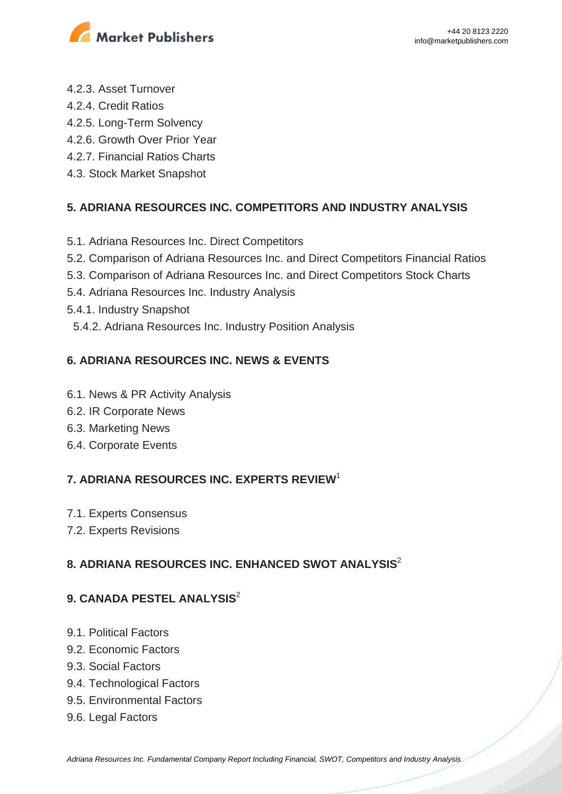

- 4.2.3. Asset Turnover
- 4.2.4. Credit Ratios
- 4.2.5. Long-Term Solvency
- 4.2.6. Growth Over Prior Year
- 4.2.7. Financial Ratios Charts
- 4.3. Stock Market Snapshot

# **5. ADRIANA RESOURCES INC. COMPETITORS AND INDUSTRY ANALYSIS**

- 5.1. Adriana Resources Inc. Direct Competitors
- 5.2. Comparison of Adriana Resources Inc. and Direct Competitors Financial Ratios
- 5.3. Comparison of Adriana Resources Inc. and Direct Competitors Stock Charts
- 5.4. Adriana Resources Inc. Industry Analysis
- 5.4.1. Industry Snapshot
- 5.4.2. Adriana Resources Inc. Industry Position Analysis

# **6. ADRIANA RESOURCES INC. NEWS & EVENTS**

- 6.1. News & PR Activity Analysis
- 6.2. IR Corporate News
- 6.3. Marketing News
- 6.4. Corporate Events

# **7. ADRIANA RESOURCES INC. EXPERTS REVIEW**<sup>1</sup>

- 7.1. Experts Consensus
- 7.2. Experts Revisions

# **8. ADRIANA RESOURCES INC. ENHANCED SWOT ANALYSIS**<sup>2</sup>

# **9. CANADA PESTEL ANALYSIS**<sup>2</sup>

- 9.1. Political Factors
- 9.2. Economic Factors
- 9.3. Social Factors
- 9.4. Technological Factors
- 9.5. Environmental Factors
- 9.6. Legal Factors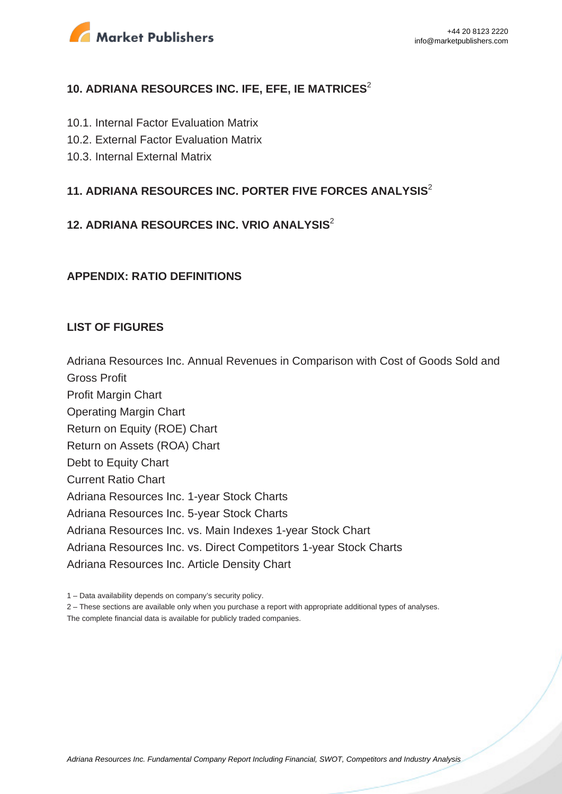

# **10. ADRIANA RESOURCES INC. IFE, EFE, IE MATRICES**<sup>2</sup>

- 10.1. Internal Factor Evaluation Matrix
- 10.2. External Factor Evaluation Matrix
- 10.3. Internal External Matrix

# **11. ADRIANA RESOURCES INC. PORTER FIVE FORCES ANALYSIS**<sup>2</sup>

# **12. ADRIANA RESOURCES INC. VRIO ANALYSIS**<sup>2</sup>

### **APPENDIX: RATIO DEFINITIONS**

### **LIST OF FIGURES**

Adriana Resources Inc. Annual Revenues in Comparison with Cost of Goods Sold and Gross Profit Profit Margin Chart Operating Margin Chart

Return on Equity (ROE) Chart

Return on Assets (ROA) Chart

Debt to Equity Chart

Current Ratio Chart

Adriana Resources Inc. 1-year Stock Charts

Adriana Resources Inc. 5-year Stock Charts

Adriana Resources Inc. vs. Main Indexes 1-year Stock Chart

Adriana Resources Inc. vs. Direct Competitors 1-year Stock Charts

Adriana Resources Inc. Article Density Chart

1 – Data availability depends on company's security policy.

2 – These sections are available only when you purchase a report with appropriate additional types of analyses.

The complete financial data is available for publicly traded companies.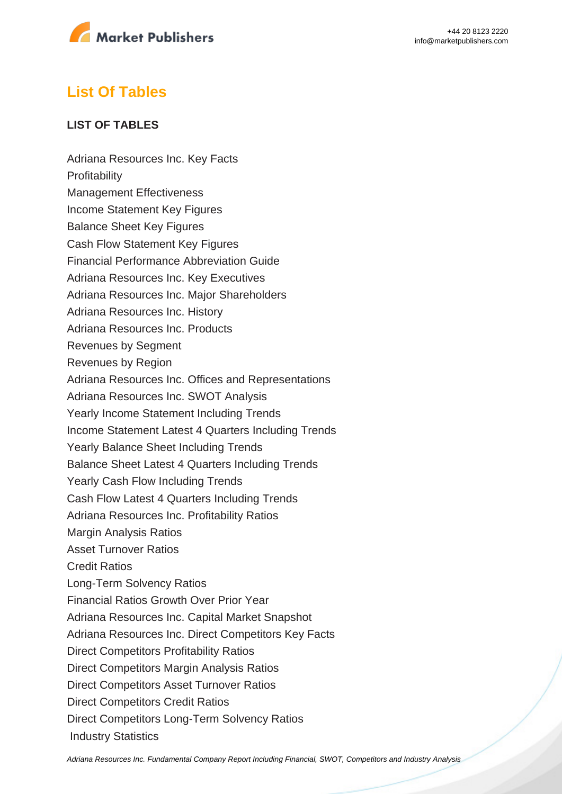

# **List Of Tables**

# **LIST OF TABLES**

Adriana Resources Inc. Key Facts **Profitability** Management Effectiveness Income Statement Key Figures Balance Sheet Key Figures Cash Flow Statement Key Figures Financial Performance Abbreviation Guide Adriana Resources Inc. Key Executives Adriana Resources Inc. Major Shareholders Adriana Resources Inc. History Adriana Resources Inc. Products Revenues by Segment Revenues by Region Adriana Resources Inc. Offices and Representations Adriana Resources Inc. SWOT Analysis Yearly Income Statement Including Trends Income Statement Latest 4 Quarters Including Trends Yearly Balance Sheet Including Trends Balance Sheet Latest 4 Quarters Including Trends Yearly Cash Flow Including Trends Cash Flow Latest 4 Quarters Including Trends Adriana Resources Inc. Profitability Ratios Margin Analysis Ratios Asset Turnover Ratios Credit Ratios Long-Term Solvency Ratios Financial Ratios Growth Over Prior Year Adriana Resources Inc. Capital Market Snapshot Adriana Resources Inc. Direct Competitors Key Facts Direct Competitors Profitability Ratios Direct Competitors Margin Analysis Ratios Direct Competitors Asset Turnover Ratios Direct Competitors Credit Ratios Direct Competitors Long-Term Solvency Ratios Industry Statistics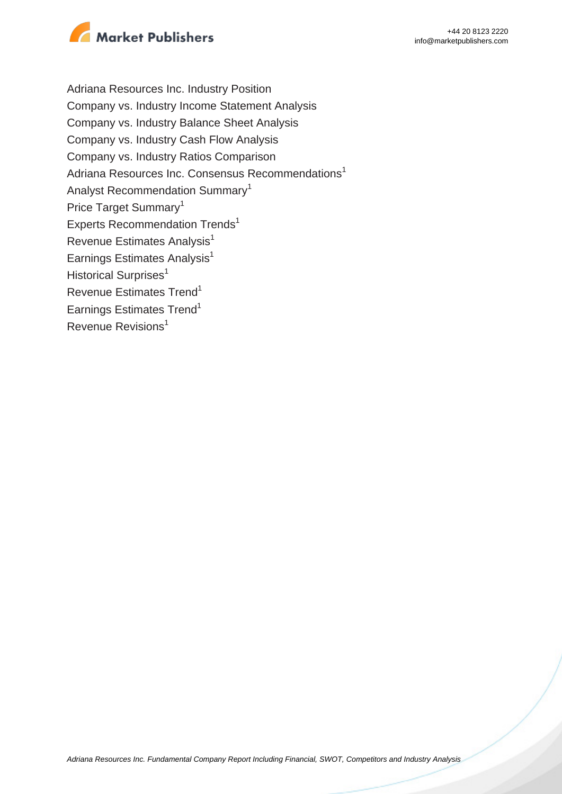

Adriana Resources Inc. Industry Position Company vs. Industry Income Statement Analysis Company vs. Industry Balance Sheet Analysis Company vs. Industry Cash Flow Analysis Company vs. Industry Ratios Comparison Adriana Resources Inc. Consensus Recommendations<sup>1</sup> Analyst Recommendation Summary<sup>1</sup> Price Target Summary<sup>1</sup> Experts Recommendation Trends<sup>1</sup> Revenue Estimates Analysis<sup>1</sup> Earnings Estimates Analysis $<sup>1</sup>$ </sup> Historical Surprises<sup>1</sup> Revenue Estimates Trend<sup>1</sup> Earnings Estimates Trend<sup>1</sup> Revenue Revisions<sup>1</sup>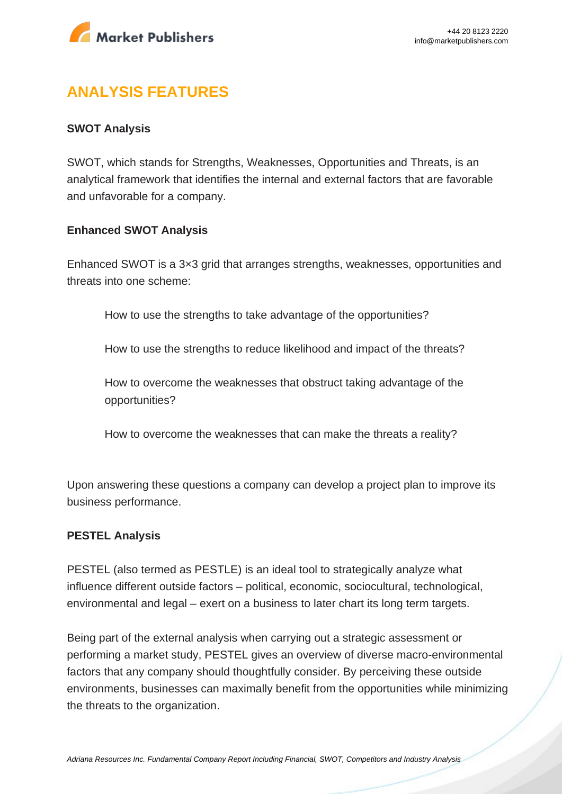

# **ANALYSIS FEATURES**

## **SWOT Analysis**

SWOT, which stands for Strengths, Weaknesses, Opportunities and Threats, is an analytical framework that identifies the internal and external factors that are favorable and unfavorable for a company.

### **Enhanced SWOT Analysis**

Enhanced SWOT is a 3×3 grid that arranges strengths, weaknesses, opportunities and threats into one scheme:

How to use the strengths to take advantage of the opportunities?

How to use the strengths to reduce likelihood and impact of the threats?

How to overcome the weaknesses that obstruct taking advantage of the opportunities?

How to overcome the weaknesses that can make the threats a reality?

Upon answering these questions a company can develop a project plan to improve its business performance.

### **PESTEL Analysis**

PESTEL (also termed as PESTLE) is an ideal tool to strategically analyze what influence different outside factors – political, economic, sociocultural, technological, environmental and legal – exert on a business to later chart its long term targets.

Being part of the external analysis when carrying out a strategic assessment or performing a market study, PESTEL gives an overview of diverse macro-environmental factors that any company should thoughtfully consider. By perceiving these outside environments, businesses can maximally benefit from the opportunities while minimizing the threats to the organization.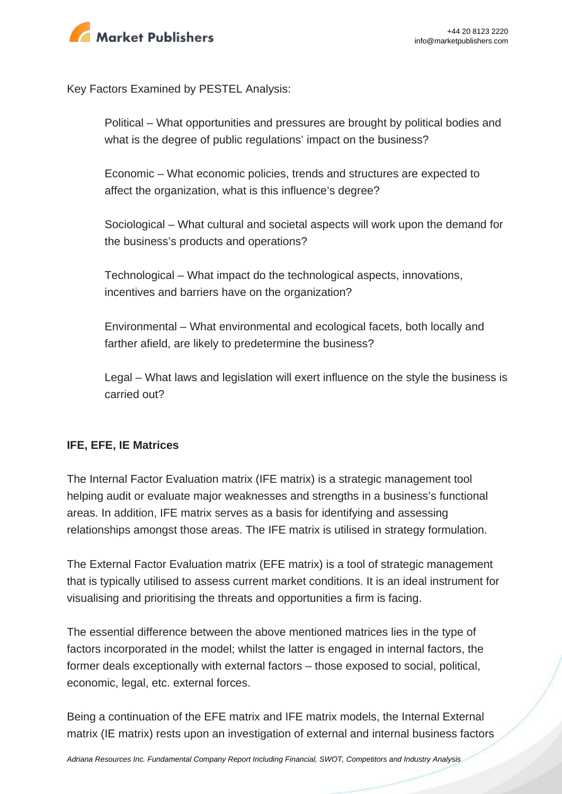

Key Factors Examined by PESTEL Analysis:

Political – What opportunities and pressures are brought by political bodies and what is the degree of public regulations' impact on the business?

Economic – What economic policies, trends and structures are expected to affect the organization, what is this influence's degree?

Sociological – What cultural and societal aspects will work upon the demand for the business's products and operations?

Technological – What impact do the technological aspects, innovations, incentives and barriers have on the organization?

Environmental – What environmental and ecological facets, both locally and farther afield, are likely to predetermine the business?

Legal – What laws and legislation will exert influence on the style the business is carried out?

# **IFE, EFE, IE Matrices**

The Internal Factor Evaluation matrix (IFE matrix) is a strategic management tool helping audit or evaluate major weaknesses and strengths in a business's functional areas. In addition, IFE matrix serves as a basis for identifying and assessing relationships amongst those areas. The IFE matrix is utilised in strategy formulation.

The External Factor Evaluation matrix (EFE matrix) is a tool of strategic management that is typically utilised to assess current market conditions. It is an ideal instrument for visualising and prioritising the threats and opportunities a firm is facing.

The essential difference between the above mentioned matrices lies in the type of factors incorporated in the model; whilst the latter is engaged in internal factors, the former deals exceptionally with external factors – those exposed to social, political, economic, legal, etc. external forces.

Being a continuation of the EFE matrix and IFE matrix models, the Internal External matrix (IE matrix) rests upon an investigation of external and internal business factors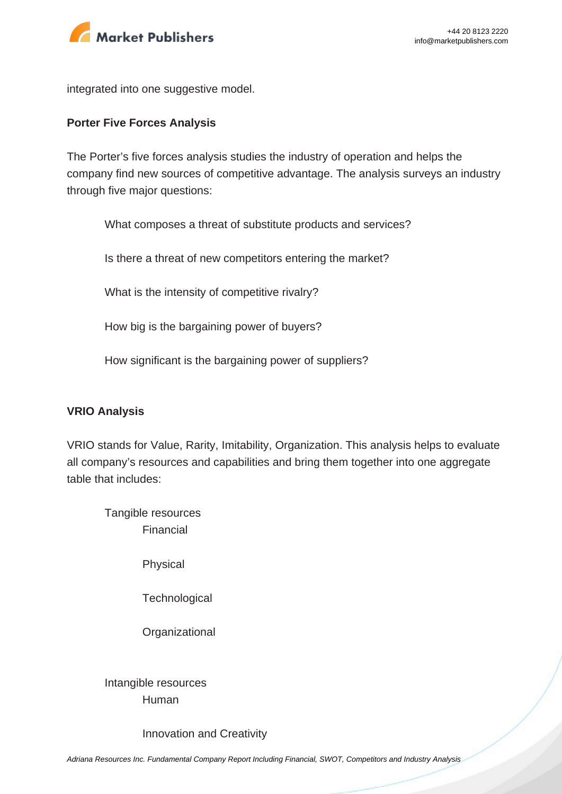

integrated into one suggestive model.

#### **Porter Five Forces Analysis**

The Porter's five forces analysis studies the industry of operation and helps the company find new sources of competitive advantage. The analysis surveys an industry through five major questions:

What composes a threat of substitute products and services?

Is there a threat of new competitors entering the market?

What is the intensity of competitive rivalry?

How big is the bargaining power of buyers?

How significant is the bargaining power of suppliers?

#### **VRIO Analysis**

VRIO stands for Value, Rarity, Imitability, Organization. This analysis helps to evaluate all company's resources and capabilities and bring them together into one aggregate table that includes:

Tangible resources Financial

Physical

**Technological** 

**Organizational** 

Intangible resources Human

Innovation and Creativity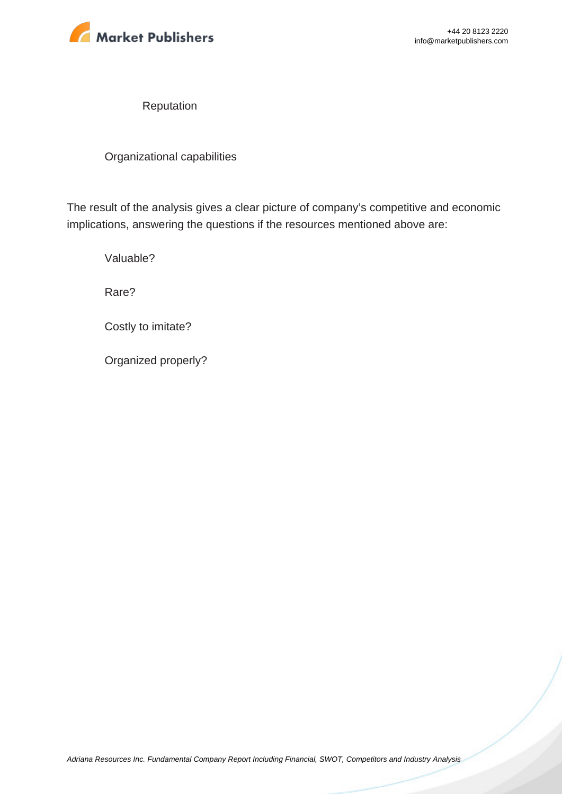

Reputation

Organizational capabilities

The result of the analysis gives a clear picture of company's competitive and economic implications, answering the questions if the resources mentioned above are:

Valuable?

Rare?

Costly to imitate?

Organized properly?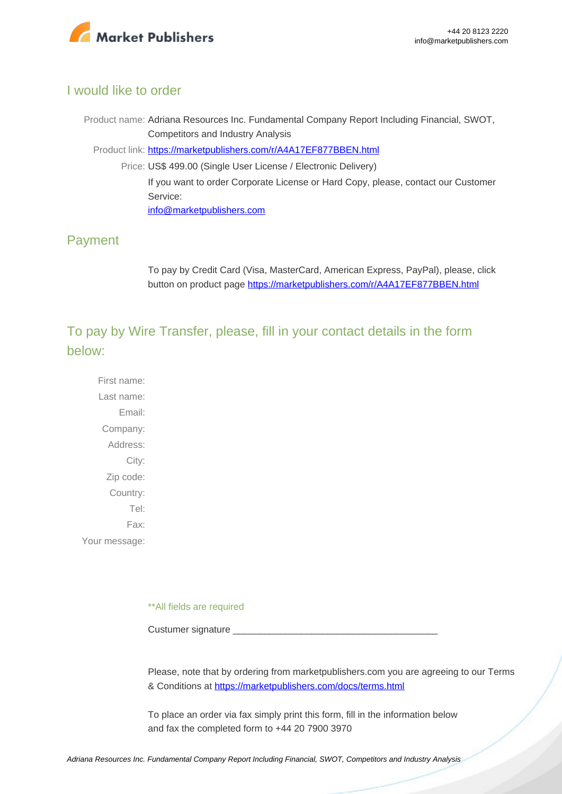

# I would like to order

Product name: Adriana Resources Inc. Fundamental Company Report Including Financial, SWOT, Competitors and Industry Analysis

Product link: [https://marketpublishers.com/r/A4A17EF877BBEN.html](https://marketpublishers.com/report/industry/metallurgy/adriana_resources_inc_swot_analysis_bac.html)

Price: US\$ 499.00 (Single User License / Electronic Delivery) If you want to order Corporate License or Hard Copy, please, contact our Customer Service:

[info@marketpublishers.com](mailto:info@marketpublishers.com)

# Payment

To pay by Credit Card (Visa, MasterCard, American Express, PayPal), please, click button on product page [https://marketpublishers.com/r/A4A17EF877BBEN.html](https://marketpublishers.com/report/industry/metallurgy/adriana_resources_inc_swot_analysis_bac.html)

To pay by Wire Transfer, please, fill in your contact details in the form below:

First name: Last name: Email: Company: Address: City: Zip code: Country: Tel: Fax: Your message:

\*\*All fields are required

Custumer signature

Please, note that by ordering from marketpublishers.com you are agreeing to our Terms & Conditions at<https://marketpublishers.com/docs/terms.html>

To place an order via fax simply print this form, fill in the information below and fax the completed form to +44 20 7900 3970